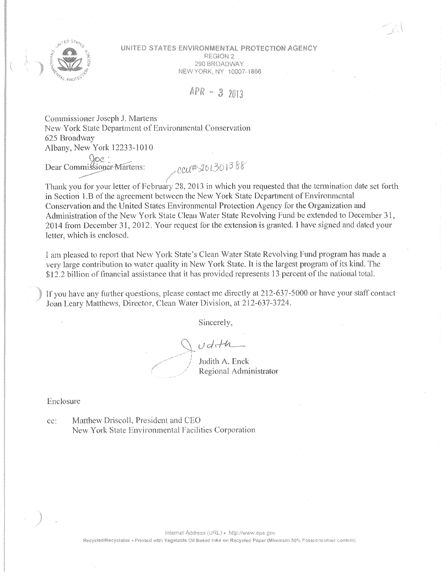

UNITED STATES ENVIRONMENTAL PROTECTION AGENCY REGION 2 290 BROADWAY NEW YORK, NY 10007-1866

 $APR - 32013$ 

Commissioner Joseph J. Martens New York State Department of Environmental Conservation 625 Broadway Albany, New York 12233-1010

Soc:<br>Dear Commissioner-Martens:

math 201301388

Thank you for your letter of February 28, 2013 in which you requested that the termination date set forth in Section 1.B of the agreement between the New York State Department of Environmental Conservation and the United States Environmental Protection Agency for the Organization and Administration of the New York State Clean Water State Revolving Fund be extended to December 31, 2014 from December 31, 2012. Your request for the extension is granted. I have signed and dated your letter, which is enclosed.

I am pleased to report that New York State's Clean Water State Revolving Fund program has made a very large contribution to water quality in New York State. It is the largest program of its kind. The \$12.2 billion of financial assistance that it has provided represents 13 percent of the national total.

If you have any further questions, please contact me directly at 212-637-5000 or have your staff contact Joan Leary Matthews, Director, Clean Water Division, at 212-637-3724.

Sincerely,

 $u$ dith

Judith A. Enck Regional Administrator

## Enclosure

Matthew Driscoll, President and CEO cc: New York State Environmental Facilities Corporation

Recycled/Recyclable «Printed with Vegetable Oil Based Inks on Recycled Paper (Minimum 50% Postconsumer content)